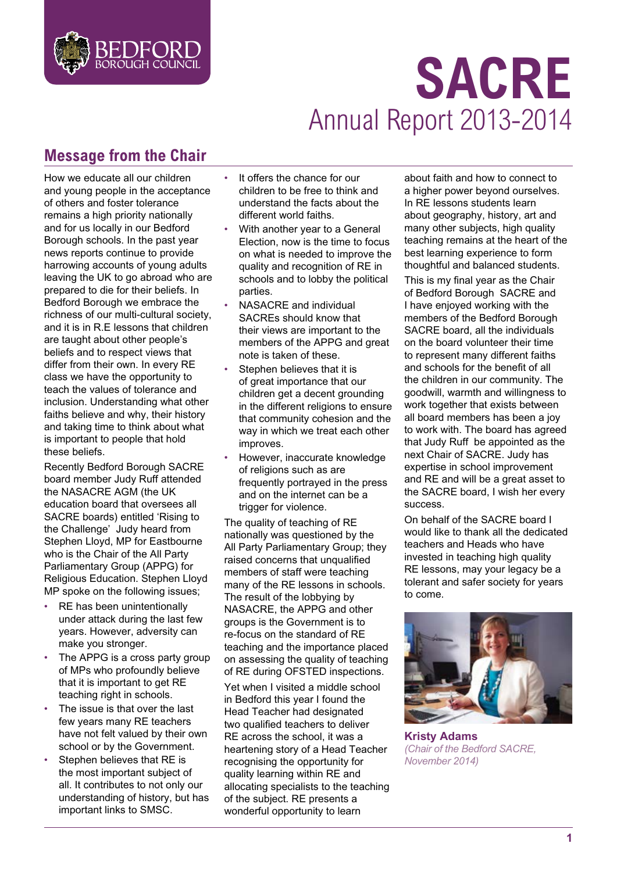

# **SACRE** Annual Report 2013-2014

# **Message from the Chair**

How we educate all our children and young people in the acceptance of others and foster tolerance remains a high priority nationally and for us locally in our Bedford Borough schools. In the past year news reports continue to provide harrowing accounts of young adults leaving the UK to go abroad who are prepared to die for their beliefs. In Bedford Borough we embrace the richness of our multi-cultural society, and it is in R.E lessons that children are taught about other people's beliefs and to respect views that differ from their own. In every RE class we have the opportunity to teach the values of tolerance and inclusion. Understanding what other faiths believe and why, their history and taking time to think about what is important to people that hold these beliefs.

Recently Bedford Borough SACRE board member Judy Ruff attended the NASACRE AGM (the UK education board that oversees all SACRE boards) entitled 'Rising to the Challenge' Judy heard from Stephen Lloyd, MP for Eastbourne who is the Chair of the All Party Parliamentary Group (APPG) for Religious Education. Stephen Lloyd MP spoke on the following issues;

- RE has been unintentionally under attack during the last few years. However, adversity can make you stronger.
- The APPG is a cross party group of MPs who profoundly believe that it is important to get RE teaching right in schools.
- The issue is that over the last few years many RE teachers have not felt valued by their own school or by the Government.
- Stephen believes that RE is the most important subject of all. It contributes to not only our understanding of history, but has important links to SMSC.
- It offers the chance for our children to be free to think and understand the facts about the different world faiths.
- With another year to a General Election, now is the time to focus on what is needed to improve the quality and recognition of RE in schools and to lobby the political parties.
- NASACRE and individual SACREs should know that their views are important to the members of the APPG and great note is taken of these.
- Stephen believes that it is of great importance that our children get a decent grounding in the different religions to ensure that community cohesion and the way in which we treat each other improves.
- However, inaccurate knowledge of religions such as are frequently portrayed in the press and on the internet can be a trigger for violence.

The quality of teaching of RE nationally was questioned by the All Party Parliamentary Group; they raised concerns that unqualified members of staff were teaching many of the RE lessons in schools. The result of the lobbying by NASACRE, the APPG and other groups is the Government is to re-focus on the standard of RE teaching and the importance placed on assessing the quality of teaching of RE during OFSTED inspections.

Yet when I visited a middle school in Bedford this year I found the Head Teacher had designated two qualified teachers to deliver RE across the school, it was a heartening story of a Head Teacher recognising the opportunity for quality learning within RE and allocating specialists to the teaching of the subject. RE presents a wonderful opportunity to learn

about faith and how to connect to a higher power beyond ourselves. In RE lessons students learn about geography, history, art and many other subjects, high quality teaching remains at the heart of the best learning experience to form thoughtful and balanced students.

This is my final year as the Chair of Bedford Borough SACRE and I have enjoyed working with the members of the Bedford Borough SACRE board, all the individuals on the board volunteer their time to represent many different faiths and schools for the benefit of all the children in our community. The goodwill, warmth and willingness to work together that exists between all board members has been a joy to work with. The board has agreed that Judy Ruff be appointed as the next Chair of SACRE. Judy has expertise in school improvement and RE and will be a great asset to the SACRE board, I wish her every success.

On behalf of the SACRE board I would like to thank all the dedicated teachers and Heads who have invested in teaching high quality RE lessons, may your legacy be a tolerant and safer society for years to come.



**Kristy Adams** *(Chair of the Bedford SACRE, November 2014)*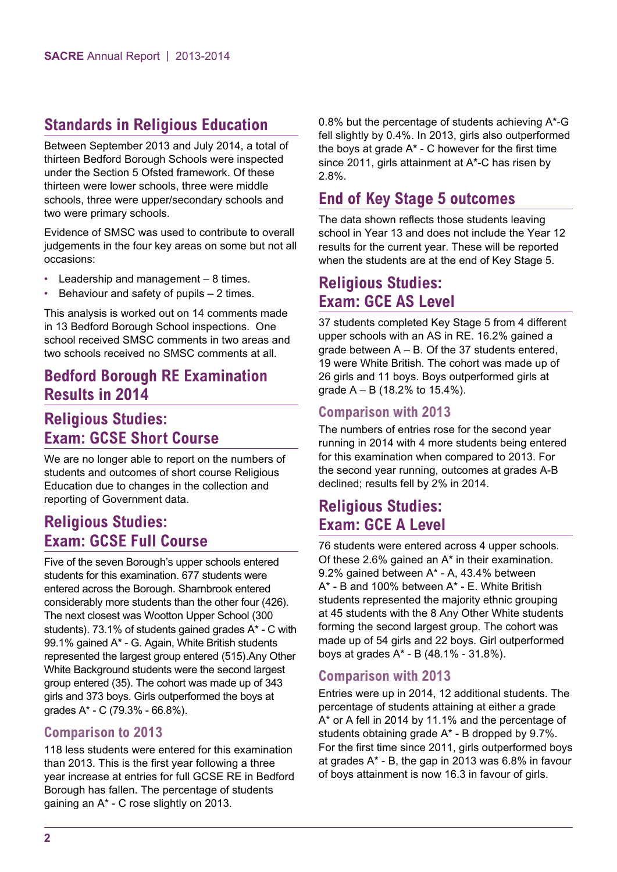# **Standards in Religious Education**

Between September 2013 and July 2014, a total of thirteen Bedford Borough Schools were inspected under the Section 5 Ofsted framework. Of these thirteen were lower schools, three were middle schools, three were upper/secondary schools and two were primary schools.

Evidence of SMSC was used to contribute to overall judgements in the four key areas on some but not all occasions:

- Leadership and management  $-8$  times.
- Behaviour and safety of pupils  $-2$  times.

This analysis is worked out on 14 comments made in 13 Bedford Borough School inspections. One school received SMSC comments in two areas and two schools received no SMSC comments at all.

## **Bedford Borough RE Examination Results in 2014**

# **Religious Studies: Exam: GCSE Short Course**

We are no longer able to report on the numbers of students and outcomes of short course Religious Education due to changes in the collection and reporting of Government data.

# **Religious Studies: Exam: GCSE Full Course**

Five of the seven Borough's upper schools entered students for this examination. 677 students were entered across the Borough. Sharnbrook entered considerably more students than the other four (426). The next closest was Wootton Upper School (300 students). 73.1% of students gained grades A\* - C with 99.1% gained A\* - G. Again, White British students represented the largest group entered (515).Any Other White Background students were the second largest group entered (35). The cohort was made up of 343 girls and 373 boys. Girls outperformed the boys at grades A\* - C (79.3% - 66.8%).

## **Comparison to 2013**

118 less students were entered for this examination than 2013. This is the first year following a three year increase at entries for full GCSE RE in Bedford Borough has fallen. The percentage of students gaining an A\* - C rose slightly on 2013.

0.8% but the percentage of students achieving A\*-G fell slightly by 0.4%. In 2013, girls also outperformed the boys at grade  $A^*$  - C however for the first time since 2011, girls attainment at A\*-C has risen by 2.8%.

# **End of Key Stage 5 outcomes**

The data shown reflects those students leaving school in Year 13 and does not include the Year 12 results for the current year. These will be reported when the students are at the end of Key Stage 5.

## **Religious Studies: Exam: GCE AS Level**

37 students completed Key Stage 5 from 4 different upper schools with an AS in RE. 16.2% gained a grade between  $A - B$ . Of the 37 students entered, 19 were White British. The cohort was made up of 26 girls and 11 boys. Boys outperformed girls at grade  $A - B$  (18.2% to 15.4%).

## **Comparison with 2013**

The numbers of entries rose for the second year running in 2014 with 4 more students being entered for this examination when compared to 2013. For the second year running, outcomes at grades A-B declined; results fell by 2% in 2014.

# **Religious Studies: Exam: GCE A Level**

76 students were entered across 4 upper schools. Of these 2.6% gained an A\* in their examination. 9.2% gained between A\* - A, 43.4% between A\* - B and 100% between A\* - E. White British students represented the majority ethnic grouping at 45 students with the 8 Any Other White students forming the second largest group. The cohort was made up of 54 girls and 22 boys. Girl outperformed boys at grades A\* - B (48.1% - 31.8%).

## **Comparison with 2013**

Entries were up in 2014, 12 additional students. The percentage of students attaining at either a grade A\* or A fell in 2014 by 11.1% and the percentage of students obtaining grade A\* - B dropped by 9.7%. For the first time since 2011, girls outperformed boys at grades A\* - B, the gap in 2013 was 6.8% in favour of boys attainment is now 16.3 in favour of girls.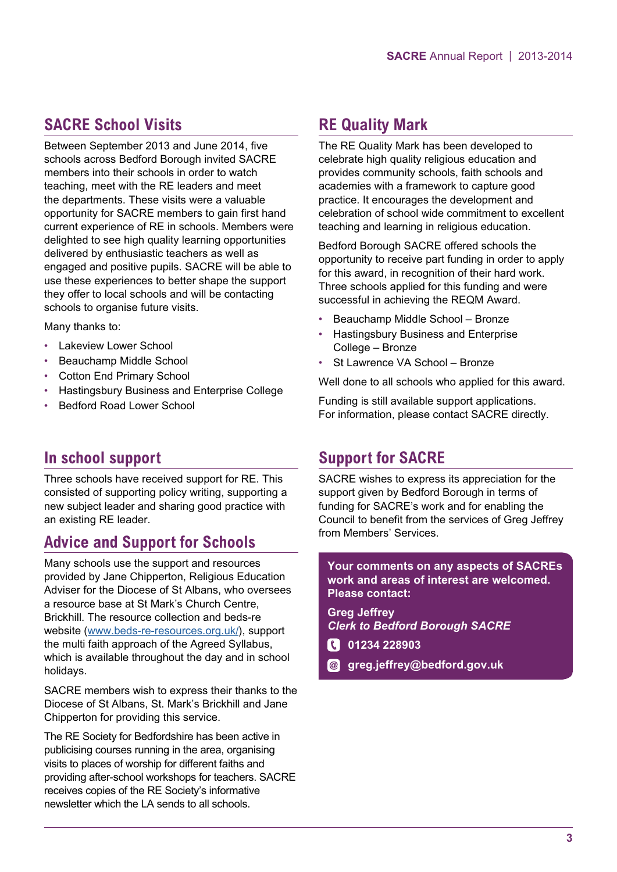# **SACRE School Visits**

Between September 2013 and June 2014, five schools across Bedford Borough invited SACRE members into their schools in order to watch teaching, meet with the RE leaders and meet the departments. These visits were a valuable opportunity for SACRE members to gain first hand current experience of RE in schools. Members were delighted to see high quality learning opportunities delivered by enthusiastic teachers as well as engaged and positive pupils. SACRE will be able to use these experiences to better shape the support they offer to local schools and will be contacting schools to organise future visits.

Many thanks to:

- Lakeview Lower School
- Beauchamp Middle School
- Cotton End Primary School
- Hastingsbury Business and Enterprise College
- Bedford Road Lower School

# **In school support**

Three schools have received support for RE. This consisted of supporting policy writing, supporting a new subject leader and sharing good practice with an existing RE leader.

# **Advice and Support for Schools**

Many schools use the support and resources provided by Jane Chipperton, Religious Education Adviser for the Diocese of St Albans, who oversees a resource base at St Mark's Church Centre, Brickhill. The resource collection and beds-re website ([www.beds-re-resources.org.uk/](http://www.beds-re-resources.org.uk/)), support the multi faith approach of the Agreed Syllabus, which is available throughout the day and in school holidays.

SACRE members wish to express their thanks to the Diocese of St Albans, St. Mark's Brickhill and Jane Chipperton for providing this service.

The RE Society for Bedfordshire has been active in publicising courses running in the area, organising visits to places of worship for different faiths and providing after-school workshops for teachers. SACRE receives copies of the RE Society's informative newsletter which the LA sends to all schools.

# **RE Quality Mark**

The RE Quality Mark has been developed to celebrate high quality religious education and provides community schools, faith schools and academies with a framework to capture good practice. It encourages the development and celebration of school wide commitment to excellent teaching and learning in religious education.

Bedford Borough SACRE offered schools the opportunity to receive part funding in order to apply for this award, in recognition of their hard work. Three schools applied for this funding and were successful in achieving the REQM Award.

- Beauchamp Middle School Bronze
- Hastingsbury Business and Enterprise College – Bronze
- St Lawrence VA School Bronze

Well done to all schools who applied for this award.

Funding is still available support applications. For information, please contact SACRE directly.

# **Support for SACRE**

SACRE wishes to express its appreciation for the support given by Bedford Borough in terms of funding for SACRE's work and for enabling the Council to benefit from the services of Greg Jeffrey from Members' Services.

**Your comments on any aspects of SACREs work and areas of interest are welcomed. Please contact:**

**Greg Jeffrey** *Clerk to Bedford Borough SACRE*

- **01234 228903**
- **greg.jeffrey@bedford.gov.uk**